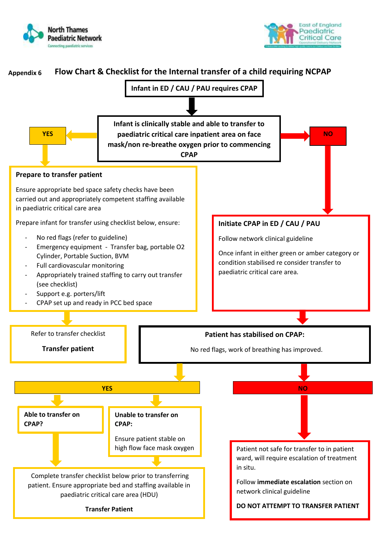



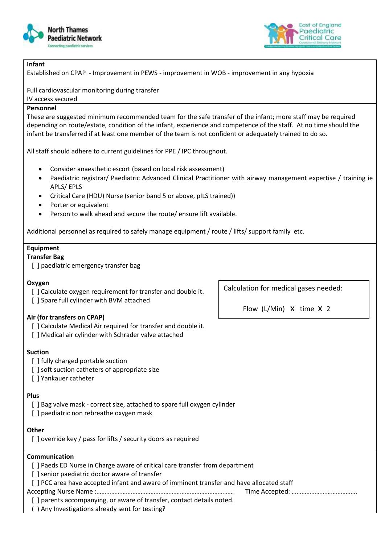



### **Infant**

Established on CPAP *-* Improvement in PEWS - improvement in WOB - improvement in any hypoxia

Full cardiovascular monitoring during transfer

IV access secured

### **Personnel**

These are suggested minimum recommended team for the safe transfer of the infant; more staff may be required depending on route/estate, condition of the infant, experience and competence of the staff. At no time should the infant be transferred if at least one member of the team is not confident or adequately trained to do so.

All staff should adhere to current guidelines for PPE / IPC throughout.

- Consider anaesthetic escort (based on local risk assessment)
- Paediatric registrar/ Paediatric Advanced Clinical Practitioner with airway management expertise / training ie APLS/ EPLS
- Critical Care (HDU) Nurse (senior band 5 or above, pILS trained))
- Porter or equivalent
- Person to walk ahead and secure the route/ ensure lift available.

Additional personnel as required to safely manage equipment / route / lifts/ support family etc.

# **Equipment**

### **Transfer Bag**

[] paediatric emergency transfer bag

### **Oxygen**

- [] Calculate oxygen requirement for transfer and double it.
- [] Spare full cylinder with BVM attached

### **Air (for transfers on CPAP)**

- [ ] Calculate Medical Air required for transfer and double it.
- [ ] Medical air cylinder with Schrader valve attached

### **Suction**

- [] fully charged portable suction
- [] soft suction catheters of appropriate size
- [ ] Yankauer catheter

### **Plus**

- [] Bag valve mask correct size, attached to spare full oxygen cylinder
- [] paediatric non rebreathe oxygen mask

### **Other**

[] override key / pass for lifts / security doors as required

## **Communication**

- [] Paeds ED Nurse in Charge aware of critical care transfer from department
- [] senior paediatric doctor aware of transfer
- [ ] PCC area have accepted infant and aware of imminent transfer and have allocated staff

Accepting Nurse Name :………………………………………………………………………… Time Accepted: ………………………………….

- [ ] parents accompanying, or aware of transfer, contact details noted.
- ( ) Any Investigations already sent for testing?

Calculation for medical gases needed:

Flow (L/Min) X time X 2